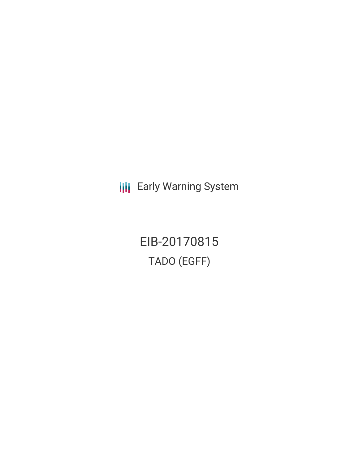**III** Early Warning System

EIB-20170815 TADO (EGFF)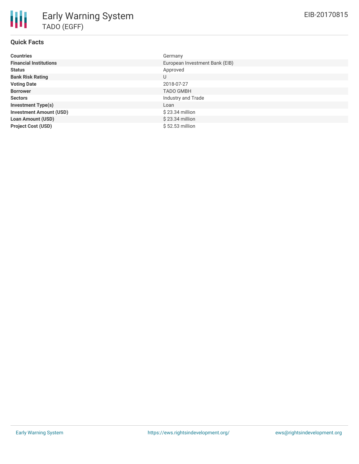## **Quick Facts**

| <b>Countries</b>               | Germany                        |
|--------------------------------|--------------------------------|
| <b>Financial Institutions</b>  | European Investment Bank (EIB) |
| <b>Status</b>                  | Approved                       |
| <b>Bank Risk Rating</b>        | U                              |
| <b>Voting Date</b>             | 2018-07-27                     |
| <b>Borrower</b>                | <b>TADO GMBH</b>               |
| <b>Sectors</b>                 | Industry and Trade             |
| <b>Investment Type(s)</b>      | Loan                           |
| <b>Investment Amount (USD)</b> | $$23.34$ million               |
| <b>Loan Amount (USD)</b>       | $$23.34$ million               |
| <b>Project Cost (USD)</b>      | \$52.53 million                |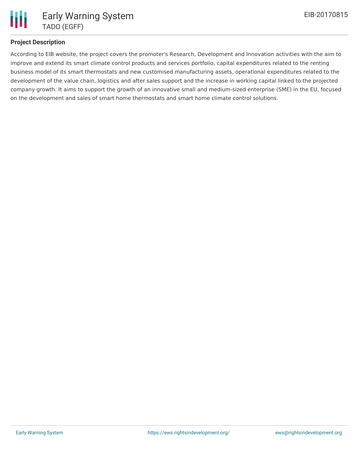# **Project Description**

According to EIB website, the project covers the promoter's Research, Development and Innovation activities with the aim to improve and extend its smart climate control products and services portfolio, capital expenditures related to the renting business model of its smart thermostats and new customised manufacturing assets, operational expenditures related to the development of the value chain, logistics and after sales support and the increase in working capital linked to the projected company growth. It aims to support the growth of an innovative small and medium-sized enterprise (SME) in the EU, focused on the development and sales of smart home thermostats and smart home climate control solutions.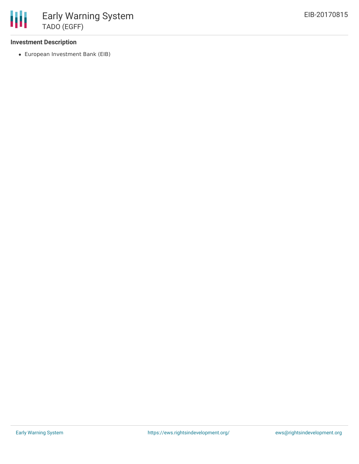### **Investment Description**

European Investment Bank (EIB)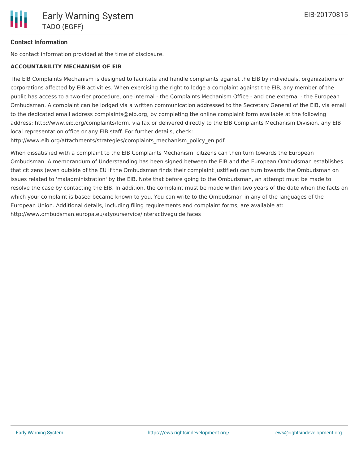### **Contact Information**

No contact information provided at the time of disclosure.

### **ACCOUNTABILITY MECHANISM OF EIB**

The EIB Complaints Mechanism is designed to facilitate and handle complaints against the EIB by individuals, organizations or corporations affected by EIB activities. When exercising the right to lodge a complaint against the EIB, any member of the public has access to a two-tier procedure, one internal - the Complaints Mechanism Office - and one external - the European Ombudsman. A complaint can be lodged via a written communication addressed to the Secretary General of the EIB, via email to the dedicated email address complaints@eib.org, by completing the online complaint form available at the following address: http://www.eib.org/complaints/form, via fax or delivered directly to the EIB Complaints Mechanism Division, any EIB local representation office or any EIB staff. For further details, check:

http://www.eib.org/attachments/strategies/complaints\_mechanism\_policy\_en.pdf

When dissatisfied with a complaint to the EIB Complaints Mechanism, citizens can then turn towards the European Ombudsman. A memorandum of Understanding has been signed between the EIB and the European Ombudsman establishes that citizens (even outside of the EU if the Ombudsman finds their complaint justified) can turn towards the Ombudsman on issues related to 'maladministration' by the EIB. Note that before going to the Ombudsman, an attempt must be made to resolve the case by contacting the EIB. In addition, the complaint must be made within two years of the date when the facts on which your complaint is based became known to you. You can write to the Ombudsman in any of the languages of the European Union. Additional details, including filing requirements and complaint forms, are available at: http://www.ombudsman.europa.eu/atyourservice/interactiveguide.faces